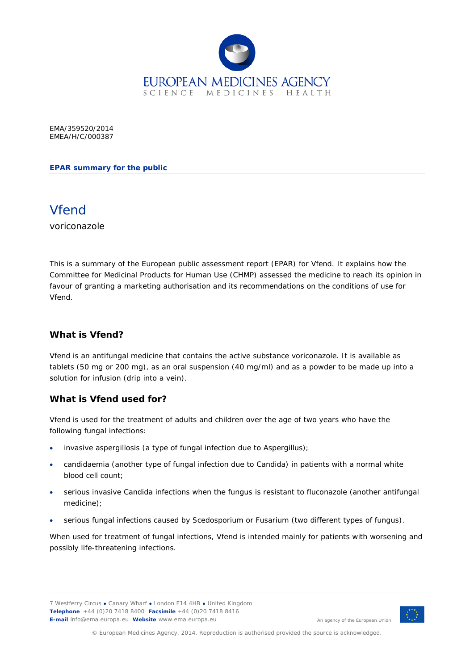

EMA/359520/2014 EMEA/H/C/000387

**EPAR summary for the public**



voriconazole

This is a summary of the European public assessment report (EPAR) for Vfend. It explains how the Committee for Medicinal Products for Human Use (CHMP) assessed the medicine to reach its opinion in favour of granting a marketing authorisation and its recommendations on the conditions of use for Vfend.

### **What is Vfend?**

Vfend is an antifungal medicine that contains the active substance voriconazole. It is available as tablets (50 mg or 200 mg), as an oral suspension (40 mg/ml) and as a powder to be made up into a solution for infusion (drip into a vein).

### **What is Vfend used for?**

Vfend is used for the treatment of adults and children over the age of two years who have the following fungal infections:

- invasive aspergillosis (a type of fungal infection due to *Aspergillus*);
- candidaemia (another type of fungal infection due to *Candida*) in patients with a normal white blood cell count;
- serious invasive *Candida* infections when the fungus is resistant to fluconazole (another antifungal medicine);
- serious fungal infections caused by *Scedosporium* or *Fusarium* (two different types of fungus).

When used for treatment of fungal infections, Vfend is intended mainly for patients with worsening and possibly life-threatening infections.



An agency of the European Union

© European Medicines Agency, 2014. Reproduction is authorised provided the source is acknowledged.

<sup>7</sup> Westferry Circus **●** Canary Wharf **●** London E14 4HB **●** United Kingdom **Telephone** +44 (0)20 7418 8400 **Facsimile** +44 (0)20 7418 8416 **E-mail** info@ema.europa.eu **Website** www.ema.europa.eu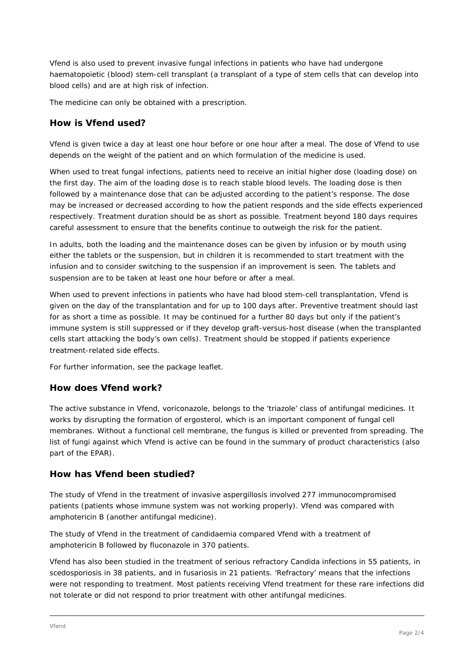Vfend is also used to prevent invasive fungal infections in patients who have had undergone haematopoietic (blood) stem-cell transplant (a transplant of a type of stem cells that can develop into blood cells) and are at high risk of infection.

The medicine can only be obtained with a prescription.

### **How is Vfend used?**

Vfend is given twice a day at least one hour before or one hour after a meal. The dose of Vfend to use depends on the weight of the patient and on which formulation of the medicine is used.

When used to treat fungal infections, patients need to receive an initial higher dose (loading dose) on the first day. The aim of the loading dose is to reach stable blood levels. The loading dose is then followed by a maintenance dose that can be adjusted according to the patient's response. The dose may be increased or decreased according to how the patient responds and the side effects experienced respectively. Treatment duration should be as short as possible. Treatment beyond 180 days requires careful assessment to ensure that the benefits continue to outweigh the risk for the patient.

In adults, both the loading and the maintenance doses can be given by infusion or by mouth using either the tablets or the suspension, but in children it is recommended to start treatment with the infusion and to consider switching to the suspension if an improvement is seen. The tablets and suspension are to be taken at least one hour before or after a meal.

When used to prevent infections in patients who have had blood stem-cell transplantation, Vfend is given on the day of the transplantation and for up to 100 days after. Preventive treatment should last for as short a time as possible. It may be continued for a further 80 days but only if the patient's immune system is still suppressed or if they develop graft-versus-host disease (when the transplanted cells start attacking the body's own cells). Treatment should be stopped if patients experience treatment-related side effects.

For further information, see the package leaflet.

### **How does Vfend work?**

The active substance in Vfend, voriconazole, belongs to the 'triazole' class of antifungal medicines. It works by disrupting the formation of ergosterol, which is an important component of fungal cell membranes. Without a functional cell membrane, the fungus is killed or prevented from spreading. The list of fungi against which Vfend is active can be found in the summary of product characteristics (also part of the EPAR).

### **How has Vfend been studied?**

The study of Vfend in the treatment of invasive aspergillosis involved 277 immunocompromised patients (patients whose immune system was not working properly). Vfend was compared with amphotericin B (another antifungal medicine).

The study of Vfend in the treatment of candidaemia compared Vfend with a treatment of amphotericin B followed by fluconazole in 370 patients.

Vfend has also been studied in the treatment of serious refractory *Candida* infections in 55 patients, in scedosporiosis in 38 patients, and in fusariosis in 21 patients. 'Refractory' means that the infections were not responding to treatment. Most patients receiving Vfend treatment for these rare infections did not tolerate or did not respond to prior treatment with other antifungal medicines.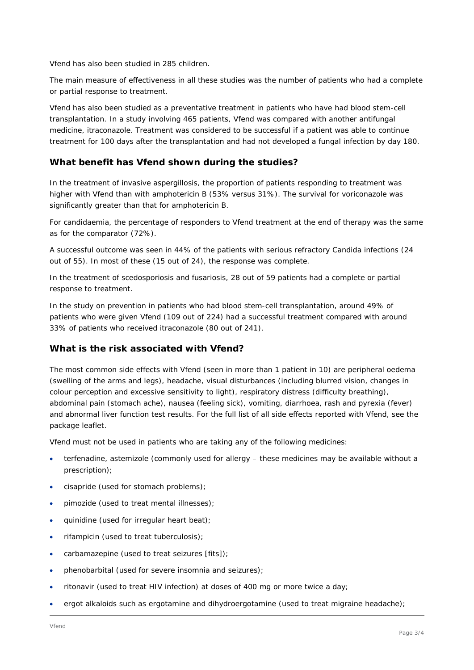Vfend has also been studied in 285 children.

The main measure of effectiveness in all these studies was the number of patients who had a complete or partial response to treatment.

Vfend has also been studied as a preventative treatment in patients who have had blood stem-cell transplantation. In a study involving 465 patients, Vfend was compared with another antifungal medicine, itraconazole. Treatment was considered to be successful if a patient was able to continue treatment for 100 days after the transplantation and had not developed a fungal infection by day 180.

# **What benefit has Vfend shown during the studies?**

In the treatment of invasive aspergillosis, the proportion of patients responding to treatment was higher with Vfend than with amphotericin B (53% versus 31%). The survival for voriconazole was significantly greater than that for amphotericin B.

For candidaemia, the percentage of responders to Vfend treatment at the end of therapy was the same as for the comparator (72%).

A successful outcome was seen in 44% of the patients with serious refractory *Candida* infections (24 out of 55). In most of these (15 out of 24), the response was complete.

In the treatment of scedosporiosis and fusariosis, 28 out of 59 patients had a complete or partial response to treatment.

In the study on prevention in patients who had blood stem-cell transplantation, around 49% of patients who were given Vfend (109 out of 224) had a successful treatment compared with around 33% of patients who received itraconazole (80 out of 241).

### **What is the risk associated with Vfend?**

The most common side effects with Vfend (seen in more than 1 patient in 10) are peripheral oedema (swelling of the arms and legs), headache, visual disturbances (including blurred vision, changes in colour perception and excessive sensitivity to light), respiratory distress (difficulty breathing), abdominal pain (stomach ache), nausea (feeling sick), vomiting, diarrhoea, rash and pyrexia (fever) and abnormal liver function test results. For the full list of all side effects reported with Vfend, see the package leaflet.

Vfend must not be used in patients who are taking any of the following medicines:

- terfenadine, astemizole (commonly used for allergy these medicines may be available without a prescription);
- cisapride (used for stomach problems);
- pimozide (used to treat mental illnesses);
- quinidine (used for irregular heart beat);
- rifampicin (used to treat tuberculosis);
- carbamazepine (used to treat seizures  $[fits])$ ;
- phenobarbital (used for severe insomnia and seizures);
- ritonavir (used to treat HIV infection) at doses of 400 mg or more twice a day;
- ergot alkaloids such as ergotamine and dihydroergotamine (used to treat migraine headache);